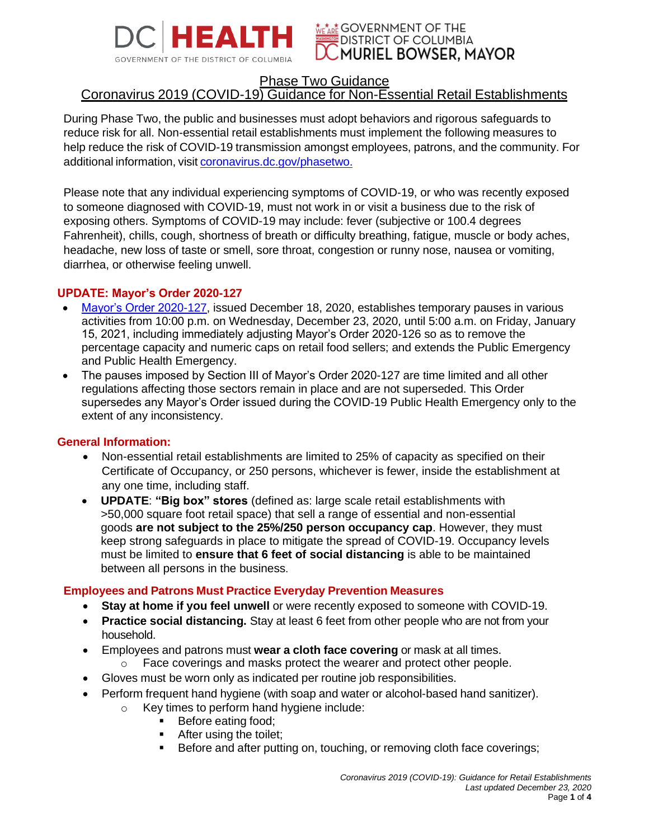



## Phase Two Guidance

# Coronavirus 2019 (COVID-19) Guidance for Non-Essential Retail Establishments

During Phase Two, the public and businesses must adopt behaviors and rigorous safeguards to reduce risk for all. Non-essential retail establishments must implement the following measures to help reduce the risk of COVID-19 transmission amongst employees, patrons, and the community. For additional information, visit [coronavirus.dc.gov/phasetwo](https://coronavirus.dc.gov/phasetwo).

Please note that any individual experiencing symptoms of COVID-19, or who was recently exposed to someone diagnosed with COVID-19, must not work in or visit a business due to the risk of exposing others. Symptoms of COVID-19 may include: fever (subjective or 100.4 degrees Fahrenheit), chills, cough, shortness of breath or difficulty breathing, fatigue, muscle or body aches, headache, new loss of taste or smell, sore throat, congestion or runny nose, nausea or vomiting, diarrhea, or otherwise feeling unwell.

### **UPDATE: Mayor's Order 2020-127**

- [Mayor's Order 2020-127,](https://coronavirus.dc.gov/phasetwo) issued December 18, 2020, establishes temporary pauses in various activities from 10:00 p.m. on Wednesday, December 23, 2020, until 5:00 a.m. on Friday, January 15, 2021, including immediately adjusting Mayor's Order 2020-126 so as to remove the percentage capacity and numeric caps on retail food sellers; and extends the Public Emergency and Public Health Emergency.
- The pauses imposed by Section III of Mayor's Order 2020-127 are time limited and all other regulations affecting those sectors remain in place and are not superseded. This Order supersedes any Mayor's Order issued during the COVID-19 Public Health Emergency only to the extent of any inconsistency.

#### **General Information:**

- Non-essential retail establishments are limited to 25% of capacity as specified on their Certificate of Occupancy, or 250 persons, whichever is fewer, inside the establishment at any one time, including staff.
- **UPDATE**: **"Big box" stores** (defined as: large scale retail establishments with >50,000 square foot retail space) that sell a range of essential and non-essential goods **are not subject to the 25%/250 person occupancy cap**. However, they must keep strong safeguards in place to mitigate the spread of COVID-19. Occupancy levels must be limited to **ensure that 6 feet of social distancing** is able to be maintained between all persons in the business.

### **Employees and Patrons Must Practice Everyday Prevention Measures**

- **Stay at home if you feel unwell** or were recently exposed to someone with COVID-19.
- **Practice social distancing.** Stay at least 6 feet from other people who are not from your household.
- Employees and patrons must **wear a cloth face covering** or mask at all times.
	- o Face coverings and masks protect the wearer and protect other people.
- Gloves must be worn only as indicated per routine job responsibilities.
- Perform frequent hand hygiene (with soap and water or alcohol-based hand sanitizer).
	- o Key times to perform hand hygiene include:
		- Before eating food;
		- After using the toilet;
		- Before and after putting on, touching, or removing cloth face coverings;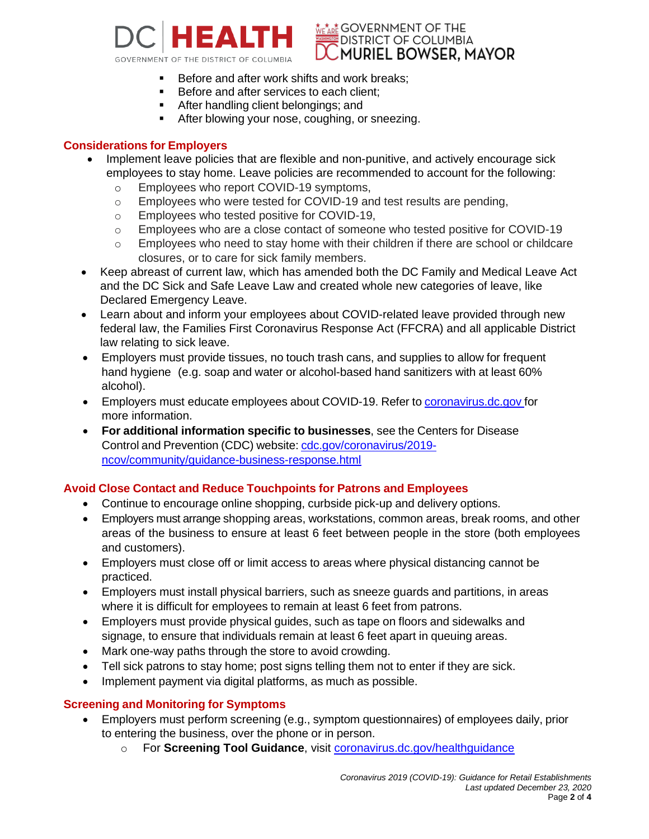

c\* GOVERNMENT OF THE **DISTRICT OF COLUMBIA MURIEL BOWSER. MAYOR** 

- Before and after work shifts and work breaks;
- Before and after services to each client;
- **EXE** After handling client belongings; and
- **EXECTE:** After blowing your nose, coughing, or sneezing.

### **Considerations for Employers**

- Implement leave policies that are flexible and non-punitive, and actively encourage sick employees to stay home. Leave policies are recommended to account for the following:
	- o Employees who report COVID-19 symptoms,
	- $\circ$  Employees who were tested for COVID-19 and test results are pending,
	- o Employees who tested positive for COVID-19,
	- o Employees who are a close contact of someone who tested positive for COVID-19
	- $\circ$  Employees who need to stay home with their children if there are school or childcare closures, or to care for sick family members.
- Keep abreast of current law, which has amended both the DC Family and Medical Leave Act and the DC Sick and Safe Leave Law and created whole new categories of leave, like Declared Emergency Leave.
- Learn about and inform your employees about COVID-related leave provided through new federal law, the Families First Coronavirus Response Act (FFCRA) and all applicable District law relating to sick leave.
- Employers must provide tissues, no touch trash cans, and supplies to allow for frequent hand hygiene (e.g. soap and water or alcohol-based hand sanitizers with at least 60% alcohol).
- Employers must educate employees about COVID-19. Refer to [coronavirus.dc.gov](https://coronavirus.dc.gov/) for more information.
- **For additional information specific to businesses**, see the Centers for Disease Control and Prevention (CDC) website: [cdc.gov/coronavirus/2019](https://www.cdc.gov/coronavirus/2019-ncov/community/guidance-business-response.html) [ncov/community/guidance-business-response.html](https://www.cdc.gov/coronavirus/2019-ncov/community/guidance-business-response.html)

### **Avoid Close Contact and Reduce Touchpoints for Patrons and Employees**

- Continue to encourage online shopping, curbside pick-up and delivery options.
- Employers must arrange shopping areas, workstations, common areas, break rooms, and other areas of the business to ensure at least 6 feet between people in the store (both employees and customers).
- Employers must close off or limit access to areas where physical distancing cannot be practiced.
- Employers must install physical barriers, such as sneeze guards and partitions, in areas where it is difficult for employees to remain at least 6 feet from patrons.
- Employers must provide physical guides, such as tape on floors and sidewalks and signage, to ensure that individuals remain at least 6 feet apart in queuing areas.
- Mark one-way paths through the store to avoid crowding.
- Tell sick patrons to stay home; post signs telling them not to enter if they are sick.
- Implement payment via digital platforms, as much as possible.

### **Screening and Monitoring for Symptoms**

- Employers must perform screening (e.g., symptom questionnaires) of employees daily, prior to entering the business, over the phone or in person.
	- o For **Screening Tool Guidance**, visit [coronavirus.dc.gov/healthguidance](https://coronavirus.dc.gov/healthguidance)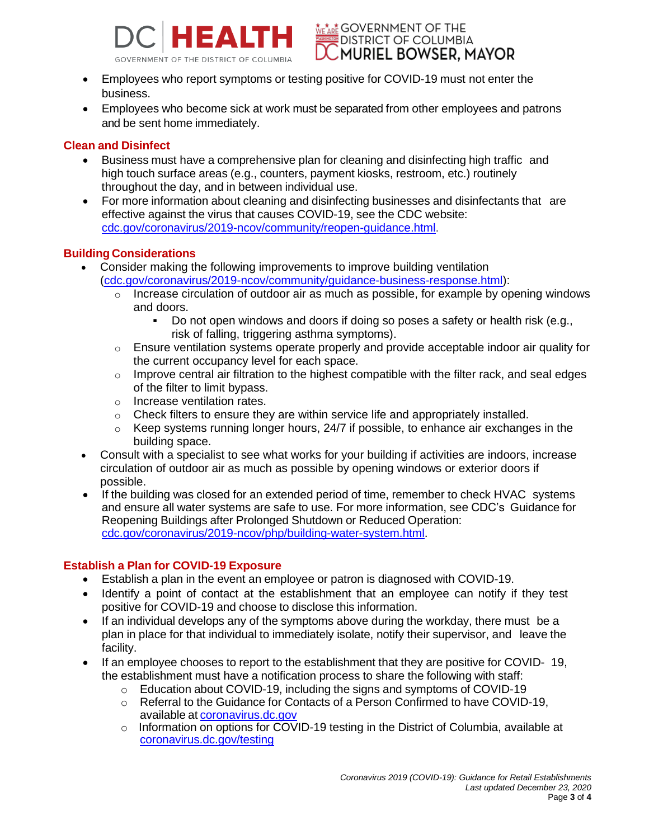



- Employees who report symptoms or testing positive for COVID-19 must not enter the business.
- Employees who become sick at work must be separated from other employees and patrons and be sent home immediately.

## **Clean and Disinfect**

- Business must have a comprehensive plan for cleaning and disinfecting high traffic and high touch surface areas (e.g., counters, payment kiosks, restroom, etc.) routinely throughout the day, and in between individual use.
- For more information about cleaning and disinfecting businesses and disinfectants that are effective against the virus that causes COVID-19, see the CDC website: [cdc.gov/coronavirus/2019-ncov/community/reopen-guidance.html.](http://www.cdc.gov/coronavirus/2019-ncov/community/reopen-guidance.html)

## **Building Considerations**

- Consider making the following improvements to improve building ventilation [\(cdc.gov/coronavirus/2019-ncov/community/guidance-business-response.html\)](https://www.cdc.gov/coronavirus/2019-ncov/community/guidance-business-response.html):
	- $\circ$  Increase circulation of outdoor air as much as possible, for example by opening windows and doors.
		- Do not open windows and doors if doing so poses a safety or health risk (e.g., risk of falling, triggering asthma symptoms).
	- $\circ$  Ensure ventilation systems operate properly and provide acceptable indoor air quality for the current occupancy level for each space.
	- o Improve central air filtration to the highest compatible with the filter rack, and seal edges of the filter to limit bypass.
	- o Increase ventilation rates.
	- $\circ$  Check filters to ensure they are within service life and appropriately installed.
	- o Keep systems running longer hours, 24/7 if possible, to enhance air exchanges in the building space.
- Consult with a specialist to see what works for your building if activities are indoors, increase circulation of outdoor air as much as possible by opening windows or exterior doors if possible.
- If the building was closed for an extended period of time, remember to check HVAC systems and ensure all water systems are safe to use. For more information, see CDC's Guidance for Reopening Buildings after Prolonged Shutdown or Reduced Operation: [cdc.gov/coronavirus/2019-ncov/php/building-water-system.html.](http://www.cdc.gov/coronavirus/2019-ncov/php/building-water-system.html)

## **Establish a Plan for COVID-19 Exposure**

- Establish a plan in the event an employee or patron is diagnosed with COVID-19.
- Identify a point of contact at the establishment that an employee can notify if they test positive for COVID-19 and choose to disclose this information.
- If an individual develops any of the symptoms above during the workday, there must be a plan in place for that individual to immediately isolate, notify their supervisor, and leave the facility.
- If an employee chooses to report to the establishment that they are positive for COVID- 19, the establishment must have a notification process to share the following with staff:
	- o Education about COVID-19, including the signs and symptoms of COVID-19
	- o Referral to the Guidance for Contacts of a Person Confirmed to have COVID-19, available at [coronavirus.dc.gov](https://coronavirus.dc.gov/)
	- o Information on options for COVID-19 testing in the District of Columbia, available at [coronavirus.dc.gov/testing](https://coronavirus.dc.gov/testing)